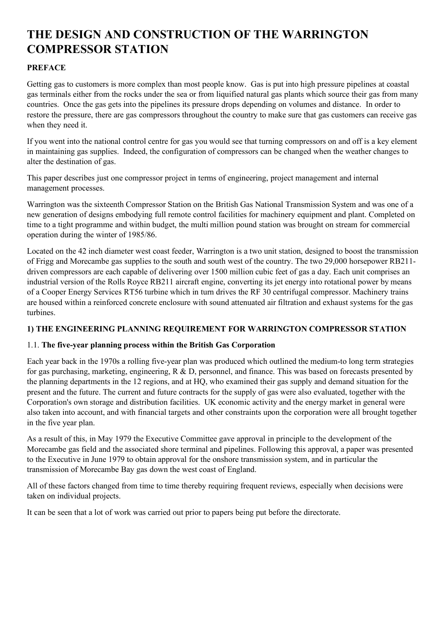# **THE DESIGN AND CONSTRUCTION OF THE WARRINGTON COMPRESSOR STATION**

# **PREFACE**

Getting gas to customers is more complex than most people know. Gas is put into high pressure pipelines at coastal gas terminals either from the rocks under the sea or from liquified natural gas plants which source their gas from many countries. Once the gas gets into the pipelines its pressure drops depending on volumes and distance. In order to restore the pressure, there are gas compressors throughout the country to make sure that gas customers can receive gas when they need it.

If you went into the national control centre for gas you would see that turning compressors on and off is a key element in maintaining gas supplies. Indeed, the configuration of compressors can be changed when the weather changes to alter the destination of gas.

This paper describes just one compressor project in terms of engineering, project management and internal management processes.

Warrington was the sixteenth Compressor Station on the British Gas National Transmission System and was one of a new generation of designs embodying full remote control facilities for machinery equipment and plant. Completed on time to a tight programme and within budget, the multi million pound station was brought on stream for commercial operation during the winter of 1985/86.

Located on the 42 inch diameter west coast feeder, Warrington is a two unit station, designed to boost the transmission of Frigg and Morecambe gas supplies to the south and south west of the country. The two 29,000 horsepower RB211 driven compressors are each capable of delivering over 1500 million cubic feet of gas a day. Each unit comprises an industrial version of the Rolls Royce RB211 aircraft engine, converting its jet energy into rotational power by means of a Cooper Energy Services RT56 turbine which in turn drives the RF 30 centrifugal compressor. Machinery trains are housed within a reinforced concrete enclosure with sound attenuated air filtration and exhaust systems for the gas turbines.

# **1) THE ENGINEERING PLANNING REQUIREMENT FOR WARRINGTON COMPRESSOR STATION**

### 1.1. **The five-year planning process within the British Gas Corporation**

Each year back in the 1970s a rolling five-year plan was produced which outlined the medium-to long term strategies for gas purchasing, marketing, engineering, R & D, personnel, and finance. This was based on forecasts presented by the planning departments in the 12 regions, and at HQ, who examined their gas supply and demand situation for the present and the future. The current and future contracts for the supply of gas were also evaluated, together with the Corporation's own storage and distribution facilities. UK economic activity and the energy market in general were also taken into account, and with financial targets and other constraints upon the corporation were all brought together in the five year plan.

As a result of this, in May 1979 the Executive Committee gave approval in principle to the development of the Morecambe gas field and the associated shore terminal and pipelines. Following this approval, a paper was presented to the Executive in June 1979 to obtain approval for the onshore transmission system, and in particular the transmission of Morecambe Bay gas down the west coast of England.

All of these factors changed from time to time thereby requiring frequent reviews, especially when decisions were taken on individual projects.

It can be seen that a lot of work was carried out prior to papers being put before the directorate.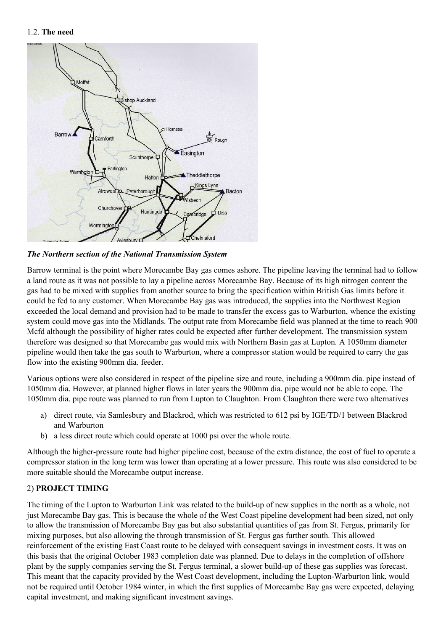#### 1.2. **The need**



*The Northern section of the National Transmission System* 

Barrow terminal is the point where Morecambe Bay gas comes ashore. The pipeline leaving the terminal had to follow a land route as it was not possible to lay a pipeline across Morecambe Bay. Because of its high nitrogen content the gas had to be mixed with supplies from another source to bring the specification within British Gas limits before it could be fed to any customer. When Morecambe Bay gas was introduced, the supplies into the Northwest Region exceeded the local demand and provision had to be made to transfer the excess gas to Warburton, whence the existing system could move gas into the Midlands. The output rate from Morecambe field was planned at the time to reach 900 Mcfd although the possibility of higher rates could be expected after further development. The transmission system therefore was designed so that Morecambe gas would mix with Northern Basin gas at Lupton. A 1050mm diameter pipeline would then take the gas south to Warburton, where a compressor station would be required to carry the gas flow into the existing 900mm dia. feeder.

Various options were also considered in respect of the pipeline size and route, including a 900mm dia. pipe instead of 1050mm dia. However, at planned higher flows in later years the 900mm dia. pipe would not be able to cope. The 1050mm dia. pipe route was planned to run from Lupton to Claughton. From Claughton there were two alternatives

- a) direct route, via Samlesbury and Blackrod, which was restricted to 612 psi by IGE/TD/1 between Blackrod and Warburton
- b) a less direct route which could operate at 1000 psi over the whole route.

Although the higher-pressure route had higher pipeline cost, because of the extra distance, the cost of fuel to operate a compressor station in the long term was lower than operating at a lower pressure. This route was also considered to be more suitable should the Morecambe output increase.

### 2) **PROJECT TIMING**

The timing of the Lupton to Warburton Link was related to the build-up of new supplies in the north as a whole, not just Morecambe Bay gas. This is because the whole of the West Coast pipeline development had been sized, not only to allow the transmission of Morecambe Bay gas but also substantial quantities of gas from St. Fergus, primarily for mixing purposes, but also allowing the through transmission of St. Fergus gas further south. This allowed reinforcement of the existing East Coast route to be delayed with consequent savings in investment costs. It was on this basis that the original October 1983 completion date was planned. Due to delays in the completion of offshore plant by the supply companies serving the St. Fergus terminal, a slower build-up of these gas supplies was forecast. This meant that the capacity provided by the West Coast development, including the Lupton-Warburton link, would not be required until October 1984 winter, in which the first supplies of Morecambe Bay gas were expected, delaying capital investment, and making significant investment savings.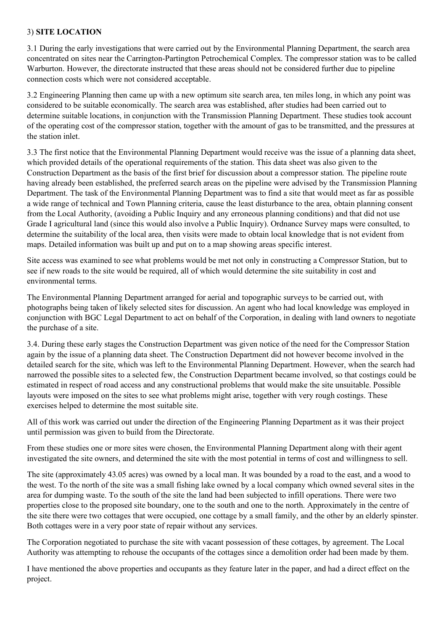## 3) **SITE LOCATION**

3.1 During the early investigations that were carried out by the Environmental Planning Department, the search area concentrated on sites near the Carrington-Partington Petrochemical Complex. The compressor station was to be called Warburton. However, the directorate instructed that these areas should not be considered further due to pipeline connection costs which were not considered acceptable.

3.2 Engineering Planning then came up with a new optimum site search area, ten miles long, in which any point was considered to be suitable economically. The search area was established, after studies had been carried out to determine suitable locations, in conjunction with the Transmission Planning Department. These studies took account of the operating cost of the compressor station, together with the amount of gas to be transmitted, and the pressures at the station inlet.

3.3 The first notice that the Environmental Planning Department would receive was the issue of a planning data sheet, which provided details of the operational requirements of the station. This data sheet was also given to the Construction Department as the basis of the first brief for discussion about a compressor station. The pipeline route having already been established, the preferred search areas on the pipeline were advised by the Transmission Planning Department. The task of the Environmental Planning Department was to find a site that would meet as far as possible a wide range of technical and Town Planning criteria, cause the least disturbance to the area, obtain planning consent from the Local Authority, (avoiding a Public Inquiry and any erroneous planning conditions) and that did not use Grade I agricultural land (since this would also involve a Public Inquiry). Ordnance Survey maps were consulted, to determine the suitability of the local area, then visits were made to obtain local knowledge that is not evident from maps. Detailed information was built up and put on to a map showing areas specific interest.

Site access was examined to see what problems would be met not only in constructing a Compressor Station, but to see if new roads to the site would be required, all of which would determine the site suitability in cost and environmental terms.

The Environmental Planning Department arranged for aerial and topographic surveys to be carried out, with photographs being taken of likely selected sites for discussion. An agent who had local knowledge was employed in conjunction with BGC Legal Department to act on behalf of the Corporation, in dealing with land owners to negotiate the purchase of a site.

3.4. During these early stages the Construction Department was given notice of the need for the Compressor Station again by the issue of a planning data sheet. The Construction Department did not however become involved in the detailed search for the site, which was left to the Environmental Planning Department. However, when the search had narrowed the possible sites to a selected few, the Construction Department became involved, so that costings could be estimated in respect of road access and any constructional problems that would make the site unsuitable. Possible layouts were imposed on the sites to see what problems might arise, together with very rough costings. These exercises helped to determine the most suitable site.

All of this work was carried out under the direction of the Engineering Planning Department as it was their project until permission was given to build from the Directorate.

From these studies one or more sites were chosen, the Environmental Planning Department along with their agent investigated the site owners, and determined the site with the most potential in terms of cost and willingness to sell.

The site (approximately 43.05 acres) was owned by a local man. It was bounded by a road to the east, and a wood to the west. To the north of the site was a small fishing lake owned by a local company which owned several sites in the area for dumping waste. To the south of the site the land had been subjected to infill operations. There were two properties close to the proposed site boundary, one to the south and one to the north. Approximately in the centre of the site there were two cottages that were occupied, one cottage by a small family, and the other by an elderly spinster. Both cottages were in a very poor state of repair without any services.

The Corporation negotiated to purchase the site with vacant possession of these cottages, by agreement. The Local Authority was attempting to rehouse the occupants of the cottages since a demolition order had been made by them.

I have mentioned the above properties and occupants as they feature later in the paper, and had a direct effect on the project.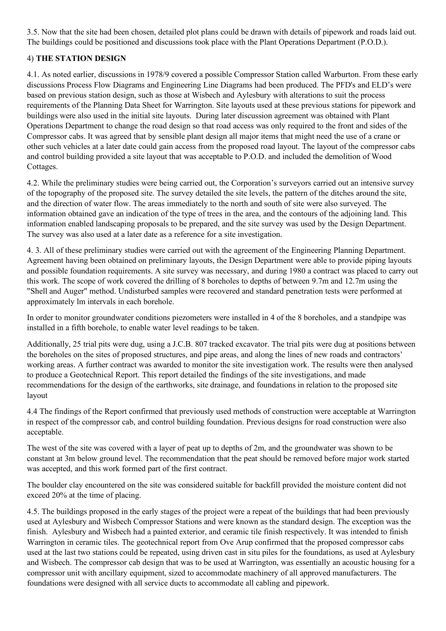3.5. Now that the site had been chosen, detailed plot plans could be drawn with details of pipework and roads laid out. The buildings could be positioned and discussions took place with the Plant Operations Department (P.O.D.).

# 4) **THE STATION DESIGN**

4.1. As noted earlier, discussions in 1978/9 covered a possible Compressor Station called Warburton. From these early discussions Process Flow Diagrams and Engineering Line Diagrams had been produced. The PFD's and ELD's were based on previous station design, such as those at Wisbech and Aylesbury with alterations to suit the process requirements of the Planning Data Sheet for Warrington. Site layouts used at these previous stations for pipework and buildings were also used in the initial site layouts. During later discussion agreement was obtained with Plant Operations Department to change the road design so that road access was only required to the front and sides of the Compressor cabs. It was agreed that by sensible plant design all major items that might need the use of a crane or other such vehicles at a later date could gain access from the proposed road layout. The layout of the compressor cabs and control building provided a site layout that was acceptable to P.O.D. and included the demolition of Wood Cottages.

4.2. While the preliminary studies were being carried out, the Corporation's surveyors carried out an intensive survey of the topography of the proposed site. The survey detailed the site levels, the pattern of the ditches around the site, and the direction of water flow. The areas immediately to the north and south of site were also surveyed. The information obtained gave an indication of the type of trees in the area, and the contours of the adjoining land. This information enabled landscaping proposals to be prepared, and the site survey was used by the Design Department. The survey was also used at a later date as a reference for a site investigation.

4. 3. All of these preliminary studies were carried out with the agreement of the Engineering Planning Department. Agreement having been obtained on preliminary layouts, the Design Department were able to provide piping layouts and possible foundation requirements. A site survey was necessary, and during 1980 a contract was placed to carry out this work. The scope of work covered the drilling of 8 boreholes to depths of between 9.7m and 12.7m using the "Shell and Auger" method. Undisturbed samples were recovered and standard penetration tests were performed at approximately lm intervals in each borehole.

In order to monitor groundwater conditions piezometers were installed in 4 of the 8 boreholes, and a standpipe was installed in a fifth borehole, to enable water level readings to be taken.

Additionally, 25 trial pits were dug, using a J.C.B. 807 tracked excavator. The trial pits were dug at positions between the boreholes on the sites of proposed structures, and pipe areas, and along the lines of new roads and contractors' working areas. A further contract was awarded to monitor the site investigation work. The results were then analysed to produce a Geotechnical Report. This report detailed the findings of the site investigations, and made recommendations for the design of the earthworks, site drainage, and foundations in relation to the proposed site layout

4.4 The findings of the Report confirmed that previously used methods of construction were acceptable at Warrington in respect of the compressor cab, and control building foundation. Previous designs for road construction were also acceptable.

The west of the site was covered with a layer of peat up to depths of 2m, and the groundwater was shown to be constant at 3m below ground level. The recommendation that the peat should be removed before major work started was accepted, and this work formed part of the first contract.

The boulder clay encountered on the site was considered suitable for backfill provided the moisture content did not exceed 20% at the time of placing.

4.5. The buildings proposed in the early stages of the project were a repeat of the buildings that had been previously used at Aylesbury and Wisbech Compressor Stations and were known as the standard design. The exception was the finish. Aylesbury and Wisbech had a painted exterior, and ceramic tile finish respectively. It was intended to finish Warrington in ceramic tiles. The geotechnical report from Ove Arup confirmed that the proposed compressor cabs used at the last two stations could be repeated, using driven cast in situ piles for the foundations, as used at Aylesbury and Wisbech. The compressor cab design that was to be used at Warrington, was essentially an acoustic housing for a compressor unit with ancillary equipment, sized to accommodate machinery of all approved manufacturers. The foundations were designed with all service ducts to accommodate all cabling and pipework.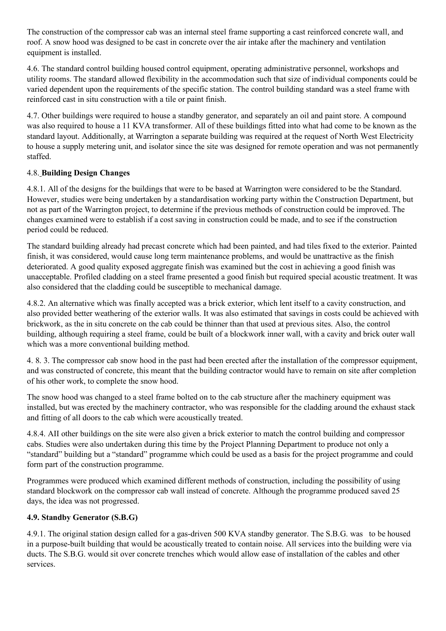The construction of the compressor cab was an internal steel frame supporting a cast reinforced concrete wall, and roof. A snow hood was designed to be cast in concrete over the air intake after the machinery and ventilation equipment is installed.

4.6. The standard control building housed control equipment, operating administrative personnel, workshops and utility rooms. The standard allowed flexibility in the accommodation such that size of individual components could be varied dependent upon the requirements of the specific station. The control building standard was a steel frame with reinforced cast in situ construction with a tile or paint finish.

4.7. Other buildings were required to house a standby generator, and separately an oil and paint store. A compound was also required to house a 11 KVA transformer. All of these buildings fitted into what had come to be known as the standard layout. Additionally, at Warrington a separate building was required at the request of North West Electricity to house a supply metering unit, and isolator since the site was designed for remote operation and was not permanently staffed.

# 4.8. **Building Design Changes**

4.8.1. All of the designs for the buildings that were to be based at Warrington were considered to be the Standard. However, studies were being undertaken by a standardisation working party within the Construction Department, but not as part of the Warrington project, to determine if the previous methods of construction could be improved. The changes examined were to establish if a cost saving in construction could be made, and to see if the construction period could be reduced.

The standard building already had precast concrete which had been painted, and had tiles fixed to the exterior. Painted finish, it was considered, would cause long term maintenance problems, and would be unattractive as the finish deteriorated. A good quality exposed aggregate finish was examined but the cost in achieving a good finish was unacceptable. Profiled cladding on a steel frame presented a good finish but required special acoustic treatment. It was also considered that the cladding could be susceptible to mechanical damage.

4.8.2. An alternative which was finally accepted was a brick exterior, which lent itself to a cavity construction, and also provided better weathering of the exterior walls. It was also estimated that savings in costs could be achieved with brickwork, as the in situ concrete on the cab could be thinner than that used at previous sites. Also, the control building, although requiring a steel frame, could be built of a blockwork inner wall, with a cavity and brick outer wall which was a more conventional building method.

4. 8. 3. The compressor cab snow hood in the past had been erected after the installation of the compressor equipment, and was constructed of concrete, this meant that the building contractor would have to remain on site after completion of his other work, to complete the snow hood.

The snow hood was changed to a steel frame bolted on to the cab structure after the machinery equipment was installed, but was erected by the machinery contractor, who was responsible for the cladding around the exhaust stack and fitting of all doors to the cab which were acoustically treated.

4.8.4. AII other buildings on the site were also given a brick exterior to match the control building and compressor cabs. Studies were also undertaken during this time by the Project Planning Department to produce not only a "standard" building but a "standard" programme which could be used as a basis for the project programme and could form part of the construction programme.

Programmes were produced which examined different methods of construction, including the possibility of using standard blockwork on the compressor cab wall instead of concrete. Although the programme produced saved 25 days, the idea was not progressed.

### **4.9. Standby Generator (S.B.G)**

4.9.1. The original station design called for a gas-driven 500 KVA standby generator. The S.B.G. was to be housed in a purpose-built building that would be acoustically treated to contain noise. All services into the building were via ducts. The S.B.G. would sit over concrete trenches which would allow ease of installation of the cables and other services.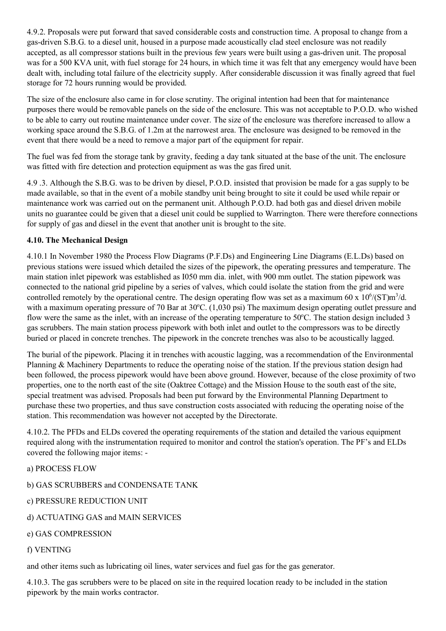4.9.2. Proposals were put forward that saved considerable costs and construction time. A proposal to change from a gas-driven S.B.G. to a diesel unit, housed in a purpose made acoustically clad steel enclosure was not readily accepted, as all compressor stations built in the previous few years were built using a gas-driven unit. The proposal was for a 500 KVA unit, with fuel storage for 24 hours, in which time it was felt that any emergency would have been dealt with, including total failure of the electricity supply. After considerable discussion it was finally agreed that fuel storage for 72 hours running would be provided.

The size of the enclosure also came in for close scrutiny. The original intention had been that for maintenance purposes there would be removable panels on the side of the enclosure. This was not acceptable to P.O.D. who wished to be able to carry out routine maintenance under cover. The size of the enclosure was therefore increased to allow a working space around the S.B.G. of 1.2m at the narrowest area. The enclosure was designed to be removed in the event that there would be a need to remove a major part of the equipment for repair.

The fuel was fed from the storage tank by gravity, feeding a day tank situated at the base of the unit. The enclosure was fitted with fire detection and protection equipment as was the gas fired unit.

4.9 .3. Although the S.B.G. was to be driven by diesel, P.O.D. insisted that provision be made for a gas supply to be made available, so that in the event of a mobile standby unit being brought to site it could be used while repair or maintenance work was carried out on the permanent unit. Although P.O.D. had both gas and diesel driven mobile units no guarantee could be given that a diesel unit could be supplied to Warrington. There were therefore connections for supply of gas and diesel in the event that another unit is brought to the site.

# **4.10. The Mechanical Design**

4.10.1 In November 1980 the Process Flow Diagrams (P.F.Ds) and Engineering Line Diagrams (E.L.Ds) based on previous stations were issued which detailed the sizes of the pipework, the operating pressures and temperature. The main station inlet pipework was established as I050 mm dia. inlet, with 900 mm outlet. The station pipework was connected to the national grid pipeline by a series of valves, which could isolate the station from the grid and were controlled remotely by the operational centre. The design operating flow was set as a maximum 60 x  $10^6/(ST)$ m<sup>3</sup>/d. with a maximum operating pressure of 70 Bar at 30°C. (1,030 psi) The maximum design operating outlet pressure and flow were the same as the inlet, with an increase of the operating temperature to 50°C. The station design included 3 gas scrubbers. The main station process pipework with both inlet and outlet to the compressors was to be directly buried or placed in concrete trenches. The pipework in the concrete trenches was also to be acoustically lagged.

The burial of the pipework. Placing it in trenches with acoustic lagging, was a recommendation of the Environmental Planning & Machinery Departments to reduce the operating noise of the station. If the previous station design had been followed, the process pipework would have been above ground. However, because of the close proximity of two properties, one to the north east of the site (Oaktree Cottage) and the Mission House to the south east of the site, special treatment was advised. Proposals had been put forward by the Environmental Planning Department to purchase these two properties, and thus save construction costs associated with reducing the operating noise of the station. This recommendation was however not accepted by the Directorate.

4.10.2. The PFDs and ELDs covered the operating requirements of the station and detailed the various equipment required along with the instrumentation required to monitor and control the station's operation. The PF's and ELDs covered the following major items: -

a) PROCESS FLOW

b) GAS SCRUBBERS and CONDENSATE TANK

c) PRESSURE REDUCTION UNIT

d) ACTUATING GAS and MAIN SERVICES

e) GAS COMPRESSION

#### f) VENTING

and other items such as lubricating oil lines, water services and fuel gas for the gas generator.

4.10.3. The gas scrubbers were to be placed on site in the required location ready to be included in the station pipework by the main works contractor.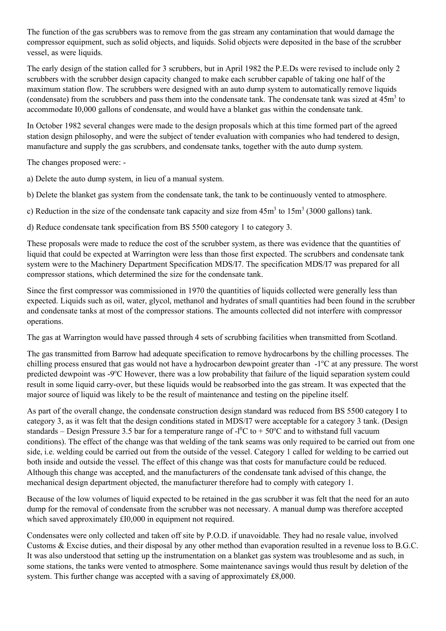The function of the gas scrubbers was to remove from the gas stream any contamination that would damage the compressor equipment, such as solid objects, and liquids. Solid objects were deposited in the base of the scrubber vessel, as were liquids.

The early design of the station called for 3 scrubbers, but in April 1982 the P.E.Ds were revised to include only 2 scrubbers with the scrubber design capacity changed to make each scrubber capable of taking one half of the maximum station flow. The scrubbers were designed with an auto dump system to automatically remove liquids (condensate) from the scrubbers and pass them into the condensate tank. The condensate tank was sized at  $45m<sup>3</sup>$  to accommodate I0,000 gallons of condensate, and would have a blanket gas within the condensate tank.

In October 1982 several changes were made to the design proposals which at this time formed part of the agreed station design philosophy, and were the subject of tender evaluation with companies who had tendered to design, manufacture and supply the gas scrubbers, and condensate tanks, together with the auto dump system.

The changes proposed were: -

a) Delete the auto dump system, in lieu of a manual system.

b) Delete the blanket gas system from the condensate tank, the tank to be continuously vented to atmosphere.

c) Reduction in the size of the condensate tank capacity and size from  $45m<sup>3</sup>$  to  $15m<sup>3</sup>$  (3000 gallons) tank.

d) Reduce condensate tank specification from BS 5500 category 1 to category 3.

These proposals were made to reduce the cost of the scrubber system, as there was evidence that the quantities of liquid that could be expected at Warrington were less than those first expected. The scrubbers and condensate tank system were to the Machinery Department Specification MDS/I7. The specification MDS/I7 was prepared for all compressor stations, which determined the size for the condensate tank.

Since the first compressor was commissioned in 1970 the quantities of liquids collected were generally less than expected. Liquids such as oil, water, glycol, methanol and hydrates of small quantities had been found in the scrubber and condensate tanks at most of the compressor stations. The amounts collected did not interfere with compressor operations.

The gas at Warrington would have passed through 4 sets of scrubbing facilities when transmitted from Scotland.

The gas transmitted from Barrow had adequate specification to remove hydrocarbons by the chilling processes. The chilling process ensured that gas would not have a hydrocarbon dewpoint greater than -1°C at any pressure. The worst predicted dewpoint was -9°C However, there was a low probability that failure of the liquid separation system could result in some liquid carry-over, but these liquids would be reabsorbed into the gas stream. It was expected that the major source of liquid was likely to be the result of maintenance and testing on the pipeline itself.

As part of the overall change, the condensate construction design standard was reduced from BS 5500 category I to category 3, as it was felt that the design conditions stated in MDS/I7 were acceptable for a category 3 tank. (Design standards – Design Pressure 3.5 bar for a temperature range of  $-1^{0}C$  to  $+50^{0}C$  and to withstand full vacuum conditions). The effect of the change was that welding of the tank seams was only required to be carried out from one side, i.e. welding could be carried out from the outside of the vessel. Category 1 called for welding to be carried out both inside and outside the vessel. The effect of this change was that costs for manufacture could be reduced. Although this change was accepted, and the manufacturers of the condensate tank advised of this change, the mechanical design department objected, the manufacturer therefore had to comply with category 1.

Because of the low volumes of liquid expected to be retained in the gas scrubber it was felt that the need for an auto dump for the removal of condensate from the scrubber was not necessary. A manual dump was therefore accepted which saved approximately £I0,000 in equipment not required.

Condensates were only collected and taken off site by P.O.D. if unavoidable. They had no resale value, involved Customs & Excise duties, and their disposal by any other method than evaporation resulted in a revenue loss to B.G.C. It was also understood that setting up the instrumentation on a blanket gas system was troublesome and as such, in some stations, the tanks were vented to atmosphere. Some maintenance savings would thus result by deletion of the system. This further change was accepted with a saving of approximately £8,000.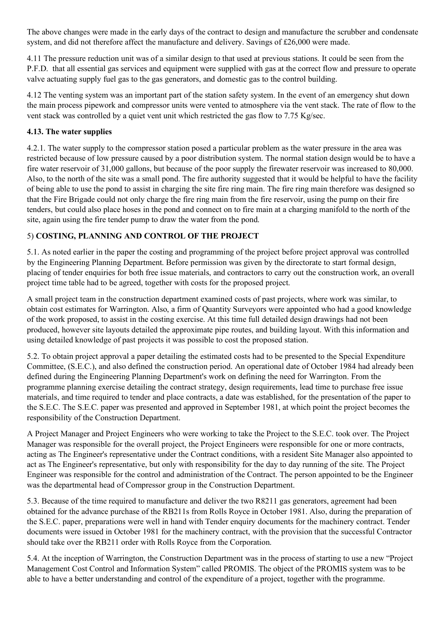The above changes were made in the early days of the contract to design and manufacture the scrubber and condensate system, and did not therefore affect the manufacture and delivery. Savings of £26,000 were made.

4.11 The pressure reduction unit was of a similar design to that used at previous stations. It could be seen from the P.F.D. that all essential gas services and equipment were supplied with gas at the correct flow and pressure to operate valve actuating supply fuel gas to the gas generators, and domestic gas to the control building.

4.12 The venting system was an important part of the station safety system. In the event of an emergency shut down the main process pipework and compressor units were vented to atmosphere via the vent stack. The rate of flow to the vent stack was controlled by a quiet vent unit which restricted the gas flow to 7.75 Kg/sec.

# **4.13. The water supplies**

4.2.1. The water supply to the compressor station posed a particular problem as the water pressure in the area was restricted because of low pressure caused by a poor distribution system. The normal station design would be to have a fire water reservoir of 31,000 gallons, but because of the poor supply the firewater reservoir was increased to 80,000. Also, to the north of the site was a small pond. The fire authority suggested that it would be helpful to have the facility of being able to use the pond to assist in charging the site fire ring main. The fire ring main therefore was designed so that the Fire Brigade could not only charge the fire ring main from the fire reservoir, using the pump on their fire tenders, but could also place hoses in the pond and connect on to fire main at a charging manifold to the north of the site, again using the fire tender pump to draw the water from the pond.

# 5) **COSTING, PLANNING AND CONTROL OF THE PROJECT**

5.1. As noted earlier in the paper the costing and programming of the project before project approval was controlled by the Engineering Planning Department. Before permission was given by the directorate to start formal design, placing of tender enquiries for both free issue materials, and contractors to carry out the construction work, an overall project time table had to be agreed, together with costs for the proposed project.

A small project team in the construction department examined costs of past projects, where work was similar, to obtain cost estimates for Warrington. Also, a firm of Quantity Surveyors were appointed who had a good knowledge of the work proposed, to assist in the costing exercise. At this time full detailed design drawings had not been produced, however site layouts detailed the approximate pipe routes, and building layout. With this information and using detailed knowledge of past projects it was possible to cost the proposed station.

5.2. To obtain project approval a paper detailing the estimated costs had to be presented to the Special Expenditure Committee, (S.E.C.), and also defined the construction period. An operational date of October 1984 had already been defined during the Engineering Planning Department's work on defining the need for Warrington. From the programme planning exercise detailing the contract strategy, design requirements, lead time to purchase free issue materials, and time required to tender and place contracts, a date was established, for the presentation of the paper to the S.E.C. The S.E.C. paper was presented and approved in September 1981, at which point the project becomes the responsibility of the Construction Department.

A Project Manager and Project Engineers who were working to take the Project to the S.E.C. took over. The Project Manager was responsible for the overall project, the Project Engineers were responsible for one or more contracts, acting as The Engineer's representative under the Contract conditions, with a resident Site Manager also appointed to act as The Engineer's representative, but only with responsibility for the day to day running of the site. The Project Engineer was responsible for the control and administration of the Contract. The person appointed to be the Engineer was the departmental head of Compressor group in the Construction Department.

5.3. Because of the time required to manufacture and deliver the two R8211 gas generators, agreement had been obtained for the advance purchase of the RB211s from Rolls Royce in October 1981. Also, during the preparation of the S.E.C. paper, preparations were well in hand with Tender enquiry documents for the machinery contract. Tender documents were issued in October 1981 for the machinery contract, with the provision that the successful Contractor should take over the RB211 order with Rolls Royce from the Corporation.

5.4. At the inception of Warrington, the Construction Department was in the process of starting to use a new "Project Management Cost Control and Information System" called PROMIS. The object of the PROMIS system was to be able to have a better understanding and control of the expenditure of a project, together with the programme.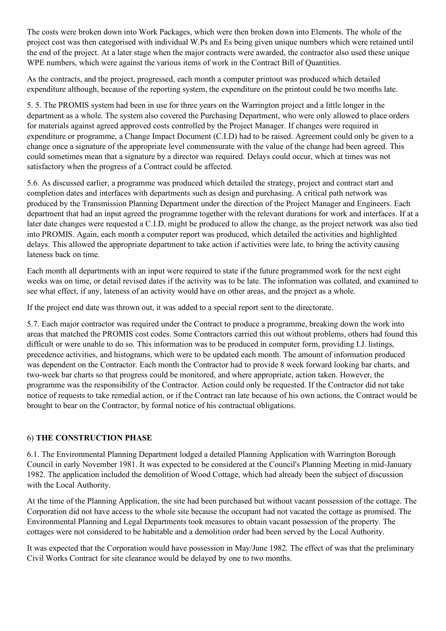The costs were broken down into Work Packages, which were then broken down into Elements. The whole of the project cost was then categorised with individual W.Ps and Es being given unique numbers which were retained until the end of the project. At a later stage when the major contracts were awarded, the contractor also used these unique WPE numbers, which were against the various items of work in the Contract Bill of Quantities.

As the contracts, and the project, progressed, each month a computer printout was produced which detailed expenditure although, because of the reporting system, the expenditure on the printout could be two months late.

5. 5. The PROMIS system had been in use for three years on the Warrington project and a little longer in the department as a whole. The system also covered the Purchasing Department, who were only allowed to place orders for materials against agreed approved costs controlled by the Project Manager. If changes were required in expenditure or programme, a Change Impact Document (C.I.D) had to be raised. Agreement could only be given to a change once a signature of the appropriate level commensurate with the value of the change had been agreed. This could sometimes mean that a signature by a director was required. Delays could occur, which at times was not satisfactory when the progress of a Contract could be affected.

5.6. As discussed earlier, a programme was produced which detailed the strategy, project and contract start and completion dates and interfaces with departments such as design and purchasing. A critical path network was produced by the Transmission Planning Department under the direction of the Project Manager and Engineers. Each department that had an input agreed the programme together with the relevant durations for work and interfaces. If at a later date changes were requested a C.I.D. might be produced to allow the change, as the project network was also tied into PROMIS. Again, each month a computer report was produced, which detailed the activities and highlighted delays. This allowed the appropriate department to take action if activities were late, to bring the activity causing lateness back on time.

Each month all departments with an input were required to state if the future programmed work for the next eight weeks was on time, or detail revised dates if the activity was to be late. The information was collated, and examined to see what effect, if any, lateness of an activity would have on other areas, and the project as a whole.

If the project end date was thrown out, it was added to a special report sent to the directorate.

5.7. Each major contractor was required under the Contract to produce a programme, breaking down the work into areas that matched the PROMIS cost codes. Some Contractors carried this out without problems, others had found this difficult or were unable to do so. This information was to be produced in computer form, providing I.J. listings, precedence activities, and histograms, which were to be updated each month. The amount of information produced was dependent on the Contractor. Each month the Contractor had to provide 8 week forward looking bar charts, and two-week bar charts so that progress could be monitored, and where appropriate, action taken. However, the programme was the responsibility of the Contractor. Action could only be requested. If the Contractor did not take notice of requests to take remedial action, or if the Contract ran late because of his own actions, the Contract would be brought to bear on the Contractor, by formal notice of his contractual obligations.

# 6) **THE CONSTRUCTION PHASE**

6.1. The Environmental Planning Department lodged a detailed Planning Application with Warrington Borough Council in early November 1981. It was expected to be considered at the Council's Planning Meeting in mid-January 1982. The application included the demolition of Wood Cottage, which had already been the subject of discussion with the Local Authority.

At the time of the Planning Application, the site had been purchased but without vacant possession of the cottage. The Corporation did not have access to the whole site because the occupant had not vacated the cottage as promised. The Environmental Planning and Legal Departments took measures to obtain vacant possession of the property. The cottages were not considered to be habitable and a demolition order had been served by the Local Authority.

It was expected that the Corporation would have possession in May/June 1982. The effect of was that the preliminary Civil Works Contract for site clearance would be delayed by one to two months.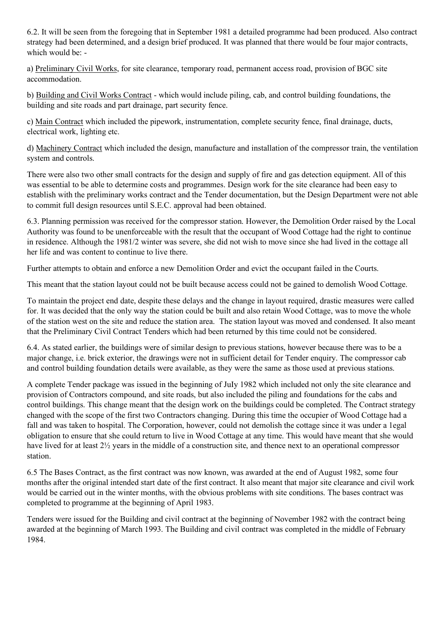6.2. It will be seen from the foregoing that in September 1981 a detailed programme had been produced. Also contract strategy had been determined, and a design brief produced. It was planned that there would be four major contracts, which would be: -

a) Preliminary Civil Works, for site clearance, temporary road, permanent access road, provision of BGC site accommodation.

b) Building and Civil Works Contract - which would include piling, cab, and control building foundations, the building and site roads and part drainage, part security fence.

c) Main Contract which included the pipework, instrumentation, complete security fence, final drainage, ducts, electrical work, lighting etc.

d) Machinery Contract which included the design, manufacture and installation of the compressor train, the ventilation system and controls.

There were also two other small contracts for the design and supply of fire and gas detection equipment. All of this was essential to be able to determine costs and programmes. Design work for the site clearance had been easy to establish with the preliminary works contract and the Tender documentation, but the Design Department were not able to commit full design resources until S.E.C. approval had been obtained.

6.3. Planning permission was received for the compressor station. However, the Demolition Order raised by the Local Authority was found to be unenforceable with the result that the occupant of Wood Cottage had the right to continue in residence. Although the 1981/2 winter was severe, she did not wish to move since she had lived in the cottage all her life and was content to continue to live there.

Further attempts to obtain and enforce a new Demolition Order and evict the occupant failed in the Courts.

This meant that the station layout could not be built because access could not be gained to demolish Wood Cottage.

To maintain the project end date, despite these delays and the change in layout required, drastic measures were called for. It was decided that the only way the station could be built and also retain Wood Cottage, was to move the whole of the station west on the site and reduce the station area. The station layout was moved and condensed. It also meant that the Preliminary Civil Contract Tenders which had been returned by this time could not be considered.

6.4. As stated earlier, the buildings were of similar design to previous stations, however because there was to be a major change, i.e. brick exterior, the drawings were not in sufficient detail for Tender enquiry. The compressor cab and control building foundation details were available, as they were the same as those used at previous stations.

A complete Tender package was issued in the beginning of JuIy 1982 which included not only the site clearance and provision of Contractors compound, and site roads, but also included the piling and foundations for the cabs and control buildings. This change meant that the design work on the buildings could be completed. The Contract strategy changed with the scope of the first two Contractors changing. During this time the occupier of Wood Cottage had a fall and was taken to hospital. The Corporation, however, could not demolish the cottage since it was under a 1egal obligation to ensure that she could return to live in Wood Cottage at any time. This would have meant that she would have lived for at least  $2\frac{1}{2}$  years in the middle of a construction site, and thence next to an operational compressor station.

6.5 The Bases Contract, as the first contract was now known, was awarded at the end of August 1982, some four months after the original intended start date of the first contract. It also meant that major site clearance and civil work would be carried out in the winter months, with the obvious problems with site conditions. The bases contract was completed to programme at the beginning of April 1983.

Tenders were issued for the Building and civil contract at the beginning of November 1982 with the contract being awarded at the beginning of March 1993. The Building and civil contract was completed in the middle of February 1984.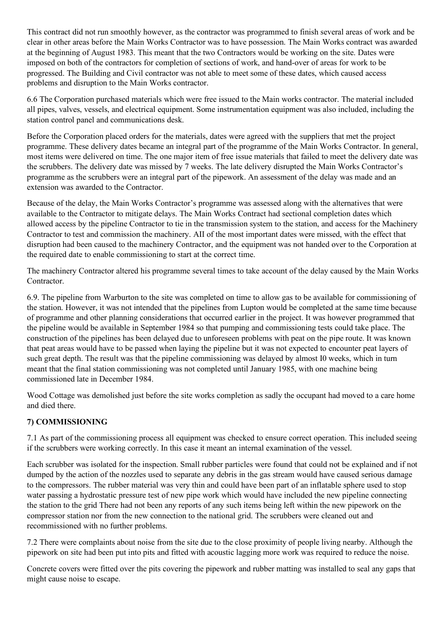This contract did not run smoothly however, as the contractor was programmed to finish several areas of work and be clear in other areas before the Main Works Contractor was to have possession. The Main Works contract was awarded at the beginning of August 1983. This meant that the two Contractors would be working on the site. Dates were imposed on both of the contractors for completion of sections of work, and hand-over of areas for work to be progressed. The Building and Civil contractor was not able to meet some of these dates, which caused access problems and disruption to the Main Works contractor.

6.6 The Corporation purchased materials which were free issued to the Main works contractor. The material included all pipes, valves, vessels, and electrical equipment. Some instrumentation equipment was also included, including the station control panel and communications desk.

Before the Corporation placed orders for the materials, dates were agreed with the suppliers that met the project programme. These delivery dates became an integral part of the programme of the Main Works Contractor. In general, most items were delivered on time. The one major item of free issue materials that failed to meet the delivery date was the scrubbers. The delivery date was missed by 7 weeks. The late delivery disrupted the Main Works Contractor's programme as the scrubbers were an integral part of the pipework. An assessment of the delay was made and an extension was awarded to the Contractor.

Because of the delay, the Main Works Contractor's programme was assessed along with the alternatives that were available to the Contractor to mitigate delays. The Main Works Contract had sectional completion dates which allowed access by the pipeline Contractor to tie in the transmission system to the station, and access for the Machinery Contractor to test and commission the machinery. AII of the most important dates were missed, with the effect that disruption had been caused to the machinery Contractor, and the equipment was not handed over to the Corporation at the required date to enable commissioning to start at the correct time.

The machinery Contractor altered his programme several times to take account of the delay caused by the Main Works Contractor.

6.9. The pipeline from Warburton to the site was completed on time to allow gas to be available for commissioning of the station. However, it was not intended that the pipelines from Lupton would be completed at the same time because of programme and other planning considerations that occurred earlier in the project. It was however programmed that the pipeline would be available in September 1984 so that pumping and commissioning tests could take place. The construction of the pipelines has been delayed due to unforeseen problems with peat on the pipe route. It was known that peat areas would have to be passed when laying the pipeline but it was not expected to encounter peat layers of such great depth. The result was that the pipeline commissioning was delayed by almost I0 weeks, which in turn meant that the final station commissioning was not completed until January 1985, with one machine being commissioned late in December 1984.

Wood Cottage was demolished just before the site works completion as sadly the occupant had moved to a care home and died there.

### **7) COMMISSIONING**

7.1 As part of the commissioning process all equipment was checked to ensure correct operation. This included seeing if the scrubbers were working correctly. In this case it meant an internal examination of the vessel.

Each scrubber was isolated for the inspection. Small rubber particles were found that could not be explained and if not dumped by the action of the nozzles used to separate any debris in the gas stream would have caused serious damage to the compressors. The rubber material was very thin and could have been part of an inflatable sphere used to stop water passing a hydrostatic pressure test of new pipe work which would have included the new pipeline connecting the station to the grid There had not been any reports of any such items being left within the new pipework on the compressor station nor from the new connection to the national grid. The scrubbers were cleaned out and recommissioned with no further problems.

7.2 There were complaints about noise from the site due to the close proximity of people living nearby. Although the pipework on site had been put into pits and fitted with acoustic lagging more work was required to reduce the noise.

Concrete covers were fitted over the pits covering the pipework and rubber matting was installed to seal any gaps that might cause noise to escape.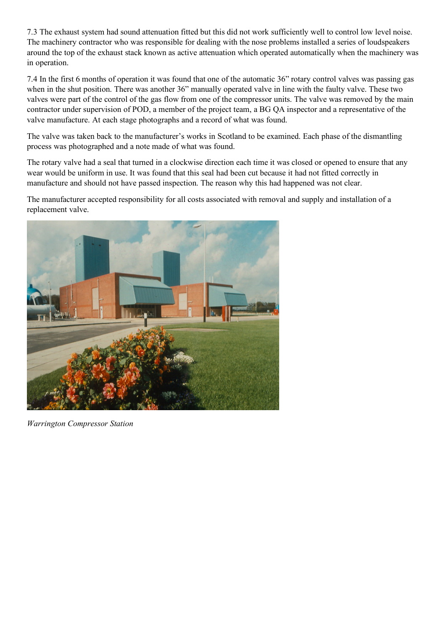7.3 The exhaust system had sound attenuation fitted but this did not work sufficiently well to control low level noise. The machinery contractor who was responsible for dealing with the nose problems installed a series of loudspeakers around the top of the exhaust stack known as active attenuation which operated automatically when the machinery was in operation.

7.4 In the first 6 months of operation it was found that one of the automatic 36" rotary control valves was passing gas when in the shut position. There was another 36" manually operated valve in line with the faulty valve. These two valves were part of the control of the gas flow from one of the compressor units. The valve was removed by the main contractor under supervision of POD, a member of the project team, a BG QA inspector and a representative of the valve manufacture. At each stage photographs and a record of what was found.

The valve was taken back to the manufacturer's works in Scotland to be examined. Each phase of the dismantling process was photographed and a note made of what was found.

The rotary valve had a seal that turned in a clockwise direction each time it was closed or opened to ensure that any wear would be uniform in use. It was found that this seal had been cut because it had not fitted correctly in manufacture and should not have passed inspection. The reason why this had happened was not clear.

The manufacturer accepted responsibility for all costs associated with removal and supply and installation of a replacement valve.



*Warrington Compressor Station*